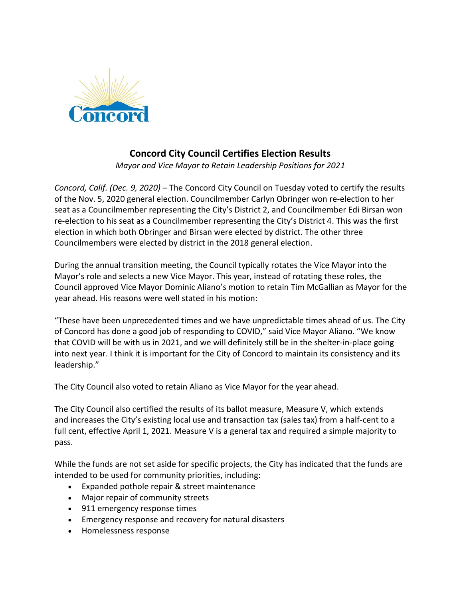

## **Concord City Council Certifies Election Results**

*Mayor and Vice Mayor to Retain Leadership Positions for 2021*

*Concord, Calif. (Dec. 9, 2020)* – The Concord City Council on Tuesday voted to certify the results of the Nov. 5, 2020 general election. Councilmember Carlyn Obringer won re-election to her seat as a Councilmember representing the City's District 2, and Councilmember Edi Birsan won re-election to his seat as a Councilmember representing the City's District 4. This was the first election in which both Obringer and Birsan were elected by district. The other three Councilmembers were elected by district in the 2018 general election.

During the annual transition meeting, the Council typically rotates the Vice Mayor into the Mayor's role and selects a new Vice Mayor. This year, instead of rotating these roles, the Council approved Vice Mayor Dominic Aliano's motion to retain Tim McGallian as Mayor for the year ahead. His reasons were well stated in his motion:

"These have been unprecedented times and we have unpredictable times ahead of us. The City of Concord has done a good job of responding to COVID," said Vice Mayor Aliano. "We know that COVID will be with us in 2021, and we will definitely still be in the shelter-in-place going into next year. I think it is important for the City of Concord to maintain its consistency and its leadership."

The City Council also voted to retain Aliano as Vice Mayor for the year ahead.

The City Council also certified the results of its ballot measure, Measure V, which extends and increases the City's existing local use and transaction tax (sales tax) from a half-cent to a full cent, effective April 1, 2021. Measure V is a general tax and required a simple majority to pass.

While the funds are not set aside for specific projects, the City has indicated that the funds are intended to be used for community priorities, including:

- Expanded pothole repair & street maintenance
- Major repair of community streets
- 911 emergency response times
- Emergency response and recovery for natural disasters
- Homelessness response